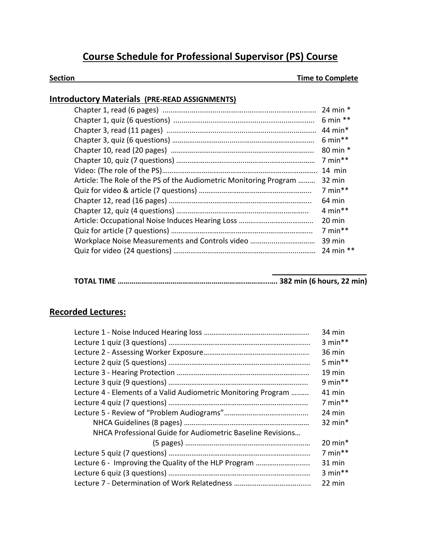# **Course Schedule for Professional Supervisor (PS) Course**

#### **Section Time to Complete**

### **Introductory Materials (PRE-READ ASSIGNMENTS)**

|                                                                   | $6 min**$            |
|-------------------------------------------------------------------|----------------------|
|                                                                   | 80 min *             |
|                                                                   | $7 min**$            |
|                                                                   | 14 min               |
| Article: The Role of the PS of the Audiometric Monitoring Program | 32 min               |
|                                                                   | $7 min**$            |
|                                                                   | 64 min               |
|                                                                   | 4 min**              |
|                                                                   | 20 min               |
|                                                                   | $7 \text{ min}^{**}$ |
| Workplace Noise Measurements and Controls video                   | 39 min               |
|                                                                   |                      |
|                                                                   |                      |

## **Recorded Lectures:**

|                                                                | 34 min               |
|----------------------------------------------------------------|----------------------|
|                                                                | $3 min**$            |
|                                                                | 36 min               |
|                                                                | 5 min $**$           |
|                                                                | $19 \text{ min}$     |
|                                                                | 9 min $**$           |
| Lecture 4 - Elements of a Valid Audiometric Monitoring Program | 41 min               |
|                                                                | $7 min**$            |
|                                                                | 24 min               |
|                                                                | 32 $min*$            |
| NHCA Professional Guide for Audiometric Baseline Revisions     |                      |
|                                                                | $20$ min*            |
|                                                                | $7 \text{ min}$ **   |
| Lecture 6 - Improving the Quality of the HLP Program           | $31$ min             |
|                                                                | $3 \text{ min}^{**}$ |
|                                                                | 22 min               |